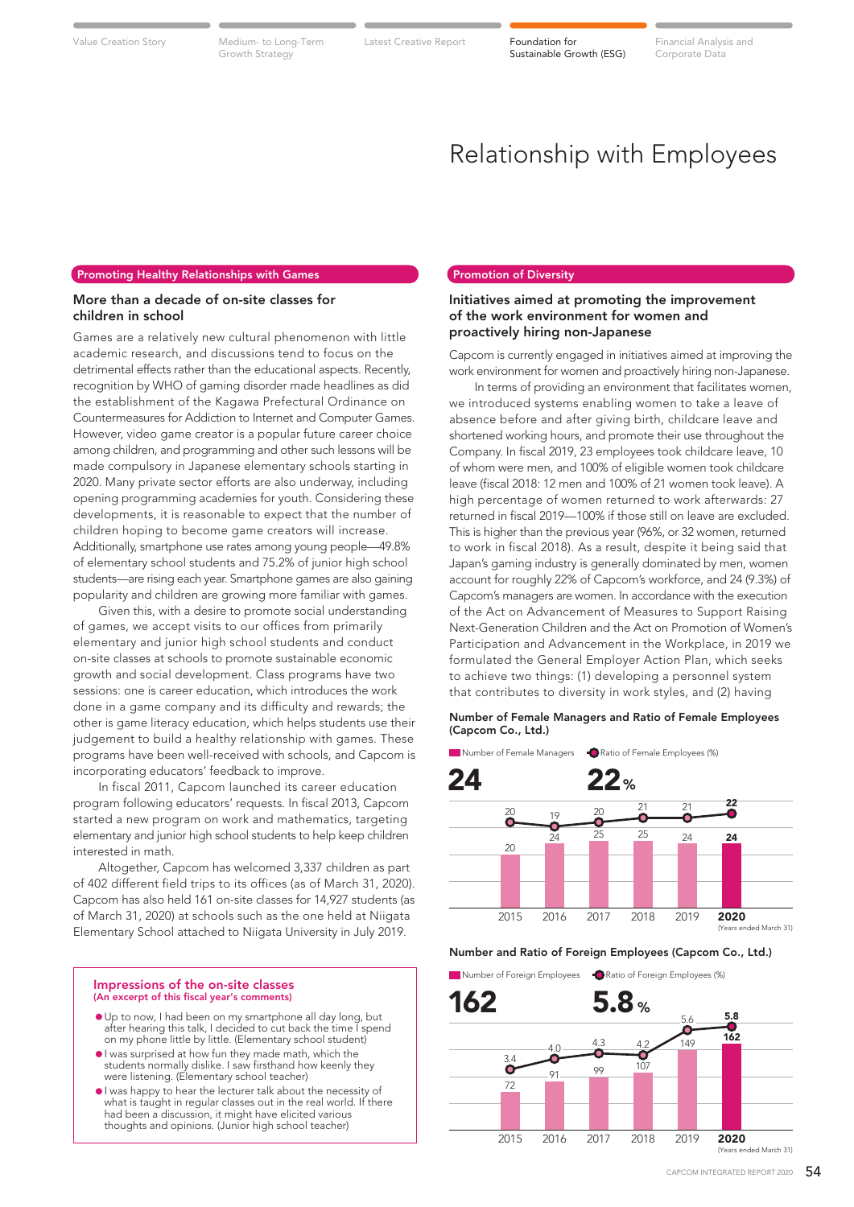Growth Strategy

Value Creation Story Medium- to Long-Term Latest Creative Report **Foundation for** 

Sustainable Growth (ESG)

Latest Creative Report **Foundation for** Financial Analysis and Corporate Data

# Relationship with Employees

## Promoting Healthy Relationships with Games

# More than a decade of on-site classes for children in school

Games are a relatively new cultural phenomenon with little academic research, and discussions tend to focus on the detrimental effects rather than the educational aspects. Recently, recognition by WHO of gaming disorder made headlines as did the establishment of the Kagawa Prefectural Ordinance on Countermeasures for Addiction to Internet and Computer Games. However, video game creator is a popular future career choice among children, and programming and other such lessons will be made compulsory in Japanese elementary schools starting in 2020. Many private sector efforts are also underway, including opening programming academies for youth. Considering these developments, it is reasonable to expect that the number of children hoping to become game creators will increase. Additionally, smartphone use rates among young people—49.8% of elementary school students and 75.2% of junior high school students—are rising each year. Smartphone games are also gaining popularity and children are growing more familiar with games.

 Given this, with a desire to promote social understanding of games, we accept visits to our offices from primarily elementary and junior high school students and conduct on-site classes at schools to promote sustainable economic growth and social development. Class programs have two sessions: one is career education, which introduces the work done in a game company and its difficulty and rewards; the other is game literacy education, which helps students use their judgement to build a healthy relationship with games. These programs have been well-received with schools, and Capcom is incorporating educators' feedback to improve.

 In fiscal 2011, Capcom launched its career education program following educators' requests. In fiscal 2013, Capcom started a new program on work and mathematics, targeting elementary and junior high school students to help keep children interested in math.

 Altogether, Capcom has welcomed 3,337 children as part of 402 different field trips to its offices (as of March 31, 2020). Capcom has also held 161 on-site classes for 14,927 students (as of March 31, 2020) at schools such as the one held at Niigata Elementary School attached to Niigata University in July 2019.

#### Impressions of the on-site classes (An excerpt of this fiscal year's comments)

- Up to now, I had been on my smartphone all day long, but after hearing this talk, I decided to cut back the time I spend on my phone little by little. (Elementary school student)
- I was surprised at how fun they made math, which the students normally dislike. I saw firsthand how keenly they were listening. (Elementary school teacher)
- I was happy to hear the lecturer talk about the necessity of what is taught in regular classes out in the real world. If there had been a discussion, it might have elicited various thoughts and opinions. (Junior high school teacher)

# Promotion of Diversity

# Initiatives aimed at promoting the improvement of the work environment for women and proactively hiring non-Japanese

Capcom is currently engaged in initiatives aimed at improving the work environment for women and proactively hiring non-Japanese.

 In terms of providing an environment that facilitates women, we introduced systems enabling women to take a leave of absence before and after giving birth, childcare leave and shortened working hours, and promote their use throughout the Company. In fiscal 2019, 23 employees took childcare leave, 10 of whom were men, and 100% of eligible women took childcare leave (fiscal 2018: 12 men and 100% of 21 women took leave). A high percentage of women returned to work afterwards: 27 returned in fiscal 2019—100% if those still on leave are excluded. This is higher than the previous year (96%, or 32 women, returned to work in fiscal 2018). As a result, despite it being said that Japan's gaming industry is generally dominated by men, women account for roughly 22% of Capcom's workforce, and 24 (9.3%) of Capcom's managers are women. In accordance with the execution of the Act on Advancement of Measures to Support Raising Next-Generation Children and the Act on Promotion of Women's Participation and Advancement in the Workplace, in 2019 we formulated the General Employer Action Plan, which seeks to achieve two things: (1) developing a personnel system that contributes to diversity in work styles, and (2) having

# Number of Female Managers and Ratio of Female Employees (Capcom Co., Ltd.)

Number of Female Managers **C** Ratio of Female Employees (%)



Number and Ratio of Foreign Employees (Capcom Co., Ltd.)

**Number of Foreign Employees C** Ratio of Foreign Employees (%)

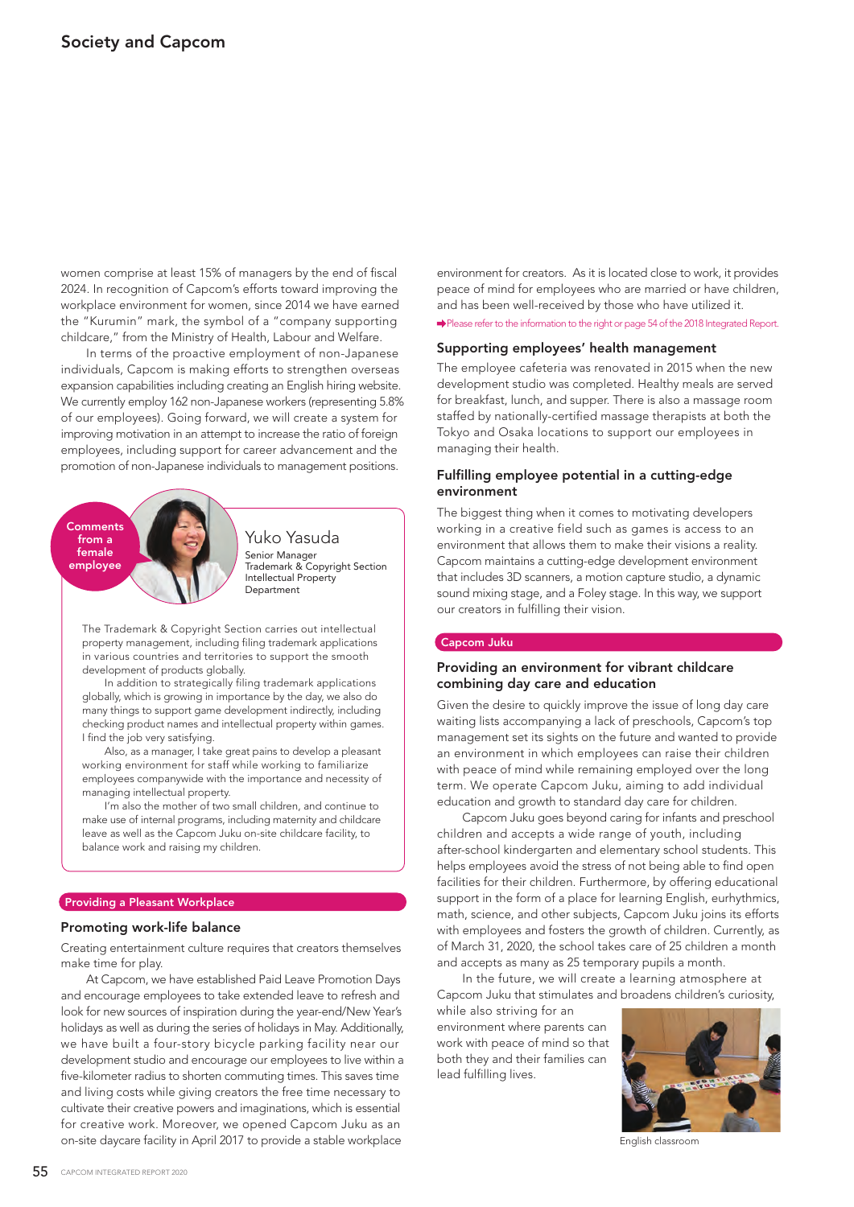women comprise at least 15% of managers by the end of fiscal 2024. In recognition of Capcom's efforts toward improving the workplace environment for women, since 2014 we have earned the "Kurumin" mark, the symbol of a "company supporting childcare," from the Ministry of Health, Labour and Welfare.

 In terms of the proactive employment of non-Japanese individuals, Capcom is making efforts to strengthen overseas expansion capabilities including creating an English hiring website. We currently employ 162 non-Japanese workers (representing 5.8% of our employees). Going forward, we will create a system for improving motivation in an attempt to increase the ratio of foreign employees, including support for career advancement and the promotion of non-Japanese individuals to management positions.



Senior Manager Trademark & Copyright Section Intellectual Property Department Yuko Yasuda

The Trademark & Copyright Section carries out intellectual property management, including filing trademark applications in various countries and territories to support the smooth development of products globally.

 In addition to strategically filing trademark applications globally, which is growing in importance by the day, we also do many things to support game development indirectly, including checking product names and intellectual property within games. I find the job very satisfying.

 Also, as a manager, I take great pains to develop a pleasant working environment for staff while working to familiarize employees companywide with the importance and necessity of managing intellectual property.

 I'm also the mother of two small children, and continue to make use of internal programs, including maternity and childcare leave as well as the Capcom Juku on-site childcare facility, to balance work and raising my children.

# Providing a Pleasant Workplace

# Promoting work-life balance

Creating entertainment culture requires that creators themselves make time for play.

 At Capcom, we have established Paid Leave Promotion Days and encourage employees to take extended leave to refresh and look for new sources of inspiration during the year-end/New Year's holidays as well as during the series of holidays in May. Additionally, we have built a four-story bicycle parking facility near our development studio and encourage our employees to live within a five-kilometer radius to shorten commuting times. This saves time and living costs while giving creators the free time necessary to cultivate their creative powers and imaginations, which is essential for creative work. Moreover, we opened Capcom Juku as an on-site daycare facility in April 2017 to provide a stable workplace

Please refer to the information to the right or page 54 of the 2018 Integrated Report. environment for creators. As it is located close to work, it provides peace of mind for employees who are married or have children, and has been well-received by those who have utilized it.

### Supporting employees' health management

The employee cafeteria was renovated in 2015 when the new development studio was completed. Healthy meals are served for breakfast, lunch, and supper. There is also a massage room staffed by nationally-certified massage therapists at both the Tokyo and Osaka locations to support our employees in managing their health.

# Fulfilling employee potential in a cutting-edge environment

The biggest thing when it comes to motivating developers working in a creative field such as games is access to an environment that allows them to make their visions a reality. Capcom maintains a cutting-edge development environment that includes 3D scanners, a motion capture studio, a dynamic sound mixing stage, and a Foley stage. In this way, we support our creators in fulfilling their vision.

#### Capcom Juku

# Providing an environment for vibrant childcare combining day care and education

Given the desire to quickly improve the issue of long day care waiting lists accompanying a lack of preschools, Capcom's top management set its sights on the future and wanted to provide an environment in which employees can raise their children with peace of mind while remaining employed over the long term. We operate Capcom Juku, aiming to add individual education and growth to standard day care for children.

 Capcom Juku goes beyond caring for infants and preschool children and accepts a wide range of youth, including after-school kindergarten and elementary school students. This helps employees avoid the stress of not being able to find open facilities for their children. Furthermore, by offering educational support in the form of a place for learning English, eurhythmics, math, science, and other subjects, Capcom Juku joins its efforts with employees and fosters the growth of children. Currently, as of March 31, 2020, the school takes care of 25 children a month and accepts as many as 25 temporary pupils a month.

 In the future, we will create a learning atmosphere at Capcom Juku that stimulates and broadens children's curiosity,

while also striving for an environment where parents can work with peace of mind so that both they and their families can lead fulfilling lives.



English classroom